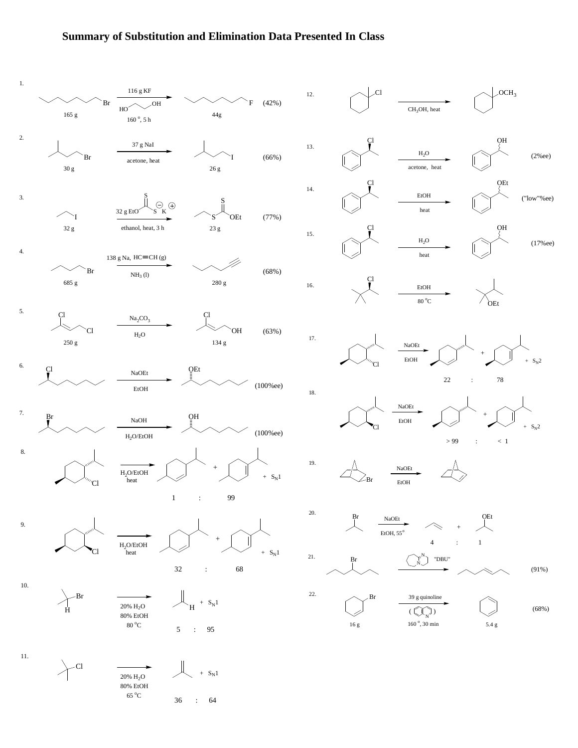## **Summary of Substitution and Elimination Data Presented In Class**